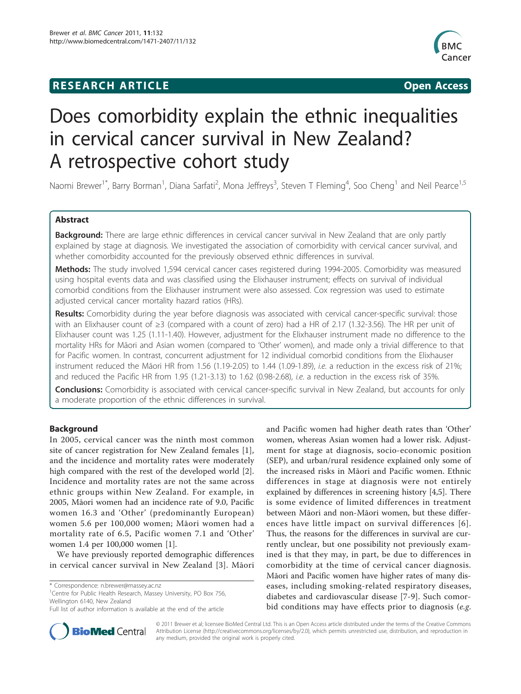## **RESEARCH ARTICLE Example 2018 CONSIDERING ACCESS**



# Does comorbidity explain the ethnic inequalities in cervical cancer survival in New Zealand? A retrospective cohort study

Naomi Brewer<sup>1\*</sup>, Barry Borman<sup>1</sup>, Diana Sarfati<sup>2</sup>, Mona Jeffreys<sup>3</sup>, Steven T Fleming<sup>4</sup>, Soo Cheng<sup>1</sup> and Neil Pearce<sup>1,5</sup>

## Abstract

Background: There are large ethnic differences in cervical cancer survival in New Zealand that are only partly explained by stage at diagnosis. We investigated the association of comorbidity with cervical cancer survival, and whether comorbidity accounted for the previously observed ethnic differences in survival.

Methods: The study involved 1,594 cervical cancer cases registered during 1994-2005. Comorbidity was measured using hospital events data and was classified using the Elixhauser instrument; effects on survival of individual comorbid conditions from the Elixhauser instrument were also assessed. Cox regression was used to estimate adjusted cervical cancer mortality hazard ratios (HRs).

Results: Comorbidity during the year before diagnosis was associated with cervical cancer-specific survival: those with an Elixhauser count of ≥3 (compared with a count of zero) had a HR of 2.17 (1.32-3.56). The HR per unit of Elixhauser count was 1.25 (1.11-1.40). However, adjustment for the Elixhauser instrument made no difference to the mortality HRs for Māori and Asian women (compared to 'Other' women), and made only a trivial difference to that for Pacific women. In contrast, concurrent adjustment for 12 individual comorbid conditions from the Elixhauser instrument reduced the Māori HR from 1.56 (1.19-2.05) to 1.44 (1.09-1.89), *i.e.* a reduction in the excess risk of 21%; and reduced the Pacific HR from 1.95 (1.21-3.13) to 1.62 (0.98-2.68), i.e. a reduction in the excess risk of 35%.

**Conclusions:** Comorbidity is associated with cervical cancer-specific survival in New Zealand, but accounts for only a moderate proportion of the ethnic differences in survival.

## Background

In 2005, cervical cancer was the ninth most common site of cancer registration for New Zealand females [[1](#page-6-0)], and the incidence and mortality rates were moderately high compared with the rest of the developed world [\[2](#page-6-0)]. Incidence and mortality rates are not the same across ethnic groups within New Zealand. For example, in 2005, Māori women had an incidence rate of 9.0, Pacific women 16.3 and 'Other' (predominantly European) women 5.6 per 100,000 women; Māori women had a mortality rate of 6.5, Pacific women 7.1 and 'Other' women 1.4 per 100,000 women [\[1](#page-6-0)].

We have previously reported demographic differences in cervical cancer survival in New Zealand [[3](#page-6-0)]. Māori

<sup>1</sup> Centre for Public Health Research, Massey University, PO Box 756, Wellington 6140, New Zealand

and Pacific women had higher death rates than 'Other' women, whereas Asian women had a lower risk. Adjustment for stage at diagnosis, socio-economic position (SEP), and urban/rural residence explained only some of the increased risks in Māori and Pacific women. Ethnic differences in stage at diagnosis were not entirely explained by differences in screening history [[4,5\]](#page-6-0). There is some evidence of limited differences in treatment between Māori and non-Māori women, but these differences have little impact on survival differences [[6\]](#page-6-0). Thus, the reasons for the differences in survival are currently unclear, but one possibility not previously examined is that they may, in part, be due to differences in comorbidity at the time of cervical cancer diagnosis. Māori and Pacific women have higher rates of many diseases, including smoking-related respiratory diseases, diabetes and cardiovascular disease [[7](#page-6-0)-[9\]](#page-6-0). Such comorbid conditions may have effects prior to diagnosis (e.g.



© 2011 Brewer et al; licensee BioMed Central Ltd. This is an Open Access article distributed under the terms of the Creative Commons Attribution License [\(http://creativecommons.org/licenses/by/2.0](http://creativecommons.org/licenses/by/2.0)), which permits unrestricted use, distribution, and reproduction in any medium, provided the original work is properly cited.

<sup>\*</sup> Correspondence: [n.brewer@massey.ac.nz](mailto:n.brewer@massey.ac.nz)

Full list of author information is available at the end of the article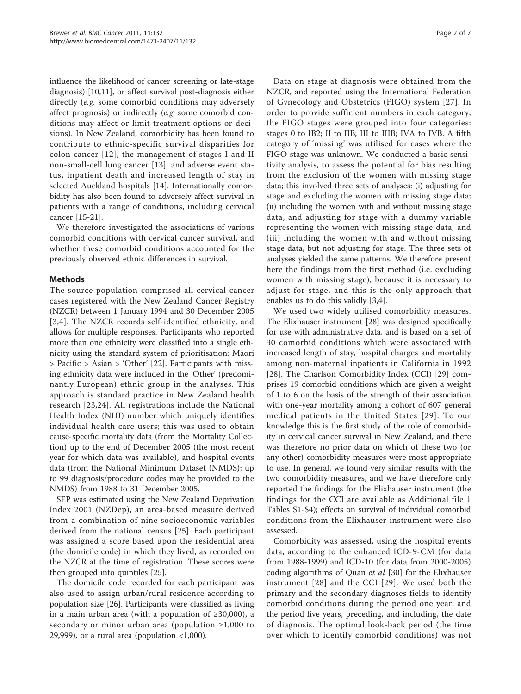influence the likelihood of cancer screening or late-stage diagnosis) [[10](#page-6-0),[11](#page-6-0)], or affect survival post-diagnosis either directly (e.g. some comorbid conditions may adversely affect prognosis) or indirectly (e.g. some comorbid conditions may affect or limit treatment options or decisions). In New Zealand, comorbidity has been found to contribute to ethnic-specific survival disparities for colon cancer [[12\]](#page-6-0), the management of stages I and II non-small-cell lung cancer [[13\]](#page-6-0), and adverse event status, inpatient death and increased length of stay in selected Auckland hospitals [[14\]](#page-6-0). Internationally comorbidity has also been found to adversely affect survival in patients with a range of conditions, including cervical cancer [[15](#page-6-0)-[21\]](#page-6-0).

We therefore investigated the associations of various comorbid conditions with cervical cancer survival, and whether these comorbid conditions accounted for the previously observed ethnic differences in survival.

## Methods

The source population comprised all cervical cancer cases registered with the New Zealand Cancer Registry (NZCR) between 1 January 1994 and 30 December 2005 [[3](#page-6-0),[4\]](#page-6-0). The NZCR records self-identified ethnicity, and allows for multiple responses. Participants who reported more than one ethnicity were classified into a single ethnicity using the standard system of prioritisation: Māori > Pacific > Asian > 'Other' [[22\]](#page-6-0). Participants with missing ethnicity data were included in the 'Other' (predominantly European) ethnic group in the analyses. This approach is standard practice in New Zealand health research [[23,24\]](#page-6-0). All registrations include the National Health Index (NHI) number which uniquely identifies individual health care users; this was used to obtain cause-specific mortality data (from the Mortality Collection) up to the end of December 2005 (the most recent year for which data was available), and hospital events data (from the National Minimum Dataset (NMDS); up to 99 diagnosis/procedure codes may be provided to the NMDS) from 1988 to 31 December 2005.

SEP was estimated using the New Zealand Deprivation Index 2001 (NZDep), an area-based measure derived from a combination of nine socioeconomic variables derived from the national census [[25\]](#page-6-0). Each participant was assigned a score based upon the residential area (the domicile code) in which they lived, as recorded on the NZCR at the time of registration. These scores were then grouped into quintiles [\[25](#page-6-0)].

The domicile code recorded for each participant was also used to assign urban/rural residence according to population size [\[26\]](#page-6-0). Participants were classified as living in a main urban area (with a population of ≥30,000), a secondary or minor urban area (population ≥1,000 to 29,999), or a rural area (population  $\langle 1,000 \rangle$ .

Data on stage at diagnosis were obtained from the NZCR, and reported using the International Federation of Gynecology and Obstetrics (FIGO) system [[27](#page-6-0)]. In order to provide sufficient numbers in each category, the FIGO stages were grouped into four categories: stages 0 to IB2; II to IIB; III to IIIB; IVA to IVB. A fifth category of 'missing' was utilised for cases where the FIGO stage was unknown. We conducted a basic sensitivity analysis, to assess the potential for bias resulting from the exclusion of the women with missing stage data; this involved three sets of analyses: (i) adjusting for stage and excluding the women with missing stage data; (ii) including the women with and without missing stage data, and adjusting for stage with a dummy variable representing the women with missing stage data; and (iii) including the women with and without missing stage data, but not adjusting for stage. The three sets of analyses yielded the same patterns. We therefore present here the findings from the first method (i.e. excluding women with missing stage), because it is necessary to adjust for stage, and this is the only approach that enables us to do this validly [[3,4](#page-6-0)].

We used two widely utilised comorbidity measures. The Elixhauser instrument [\[28\]](#page-6-0) was designed specifically for use with administrative data, and is based on a set of 30 comorbid conditions which were associated with increased length of stay, hospital charges and mortality among non-maternal inpatients in California in 1992 [[28\]](#page-6-0). The Charlson Comorbidity Index (CCI) [\[29](#page-6-0)] comprises 19 comorbid conditions which are given a weight of 1 to 6 on the basis of the strength of their association with one-year mortality among a cohort of 607 general medical patients in the United States [[29](#page-6-0)]. To our knowledge this is the first study of the role of comorbidity in cervical cancer survival in New Zealand, and there was therefore no prior data on which of these two (or any other) comorbidity measures were most appropriate to use. In general, we found very similar results with the two comorbidity measures, and we have therefore only reported the findings for the Elixhauser instrument (the findings for the CCI are available as Additional file [1](#page-5-0) Tables S1-S4); effects on survival of individual comorbid conditions from the Elixhauser instrument were also assessed.

Comorbidity was assessed, using the hospital events data, according to the enhanced ICD-9-CM (for data from 1988-1999) and ICD-10 (for data from 2000-2005) coding algorithms of Quan et al [\[30](#page-6-0)] for the Elixhauser instrument [[28\]](#page-6-0) and the CCI [[29\]](#page-6-0). We used both the primary and the secondary diagnoses fields to identify comorbid conditions during the period one year, and the period five years, preceding, and including, the date of diagnosis. The optimal look-back period (the time over which to identify comorbid conditions) was not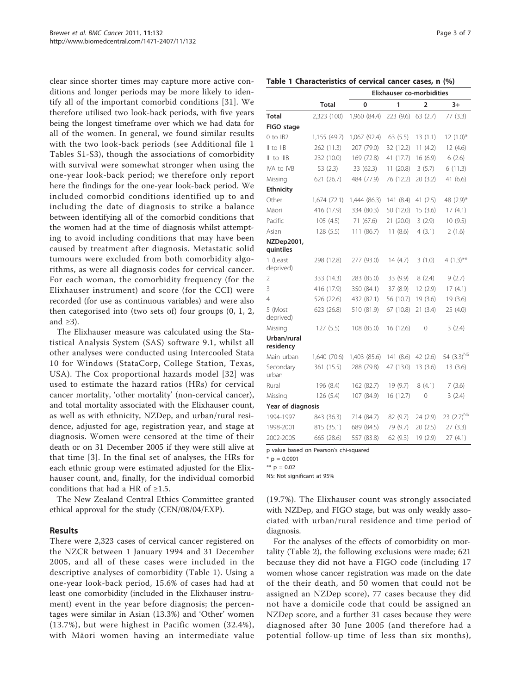<span id="page-2-0"></span>clear since shorter times may capture more active conditions and longer periods may be more likely to identify all of the important comorbid conditions [[31\]](#page-6-0). We therefore utilised two look-back periods, with five years being the longest timeframe over which we had data for all of the women. In general, we found similar results with the two look-back periods (see Additional file [1](#page-5-0) Tables S1-S3), though the associations of comorbidity with survival were somewhat stronger when using the one-year look-back period; we therefore only report here the findings for the one-year look-back period. We included comorbid conditions identified up to and including the date of diagnosis to strike a balance between identifying all of the comorbid conditions that the women had at the time of diagnosis whilst attempting to avoid including conditions that may have been caused by treatment after diagnosis. Metastatic solid tumours were excluded from both comorbidity algorithms, as were all diagnosis codes for cervical cancer. For each woman, the comorbidity frequency (for the Elixhauser instrument) and score (for the CCI) were recorded (for use as continuous variables) and were also then categorised into (two sets of) four groups (0, 1, 2, and  $\geq 3$ ).

The Elixhauser measure was calculated using the Statistical Analysis System (SAS) software 9.1, whilst all other analyses were conducted using Intercooled Stata 10 for Windows (StataCorp, College Station, Texas, USA). The Cox proportional hazards model [[32\]](#page-6-0) was used to estimate the hazard ratios (HRs) for cervical cancer mortality, 'other mortality' (non-cervical cancer), and total mortality associated with the Elixhauser count, as well as with ethnicity, NZDep, and urban/rural residence, adjusted for age, registration year, and stage at diagnosis. Women were censored at the time of their death or on 31 December 2005 if they were still alive at that time [[3\]](#page-6-0). In the final set of analyses, the HRs for each ethnic group were estimated adjusted for the Elixhauser count, and, finally, for the individual comorbid conditions that had a HR of  $\geq 1.5$ .

The New Zealand Central Ethics Committee granted ethical approval for the study (CEN/08/04/EXP).

## Results

There were 2,323 cases of cervical cancer registered on the NZCR between 1 January 1994 and 31 December 2005, and all of these cases were included in the descriptive analyses of comorbidity (Table 1). Using a one-year look-back period, 15.6% of cases had had at least one comorbidity (included in the Elixhauser instrument) event in the year before diagnosis; the percentages were similar in Asian (13.3%) and 'Other' women (13.7%), but were highest in Pacific women (32.4%), with Māori women having an intermediate value

Table 1 Characteristics of cervical cancer cases, n (%)

|                          |              | Elixhauser co-morbidities |           |                |                         |  |  |  |
|--------------------------|--------------|---------------------------|-----------|----------------|-------------------------|--|--|--|
|                          | <b>Total</b> | 0                         | 1         | $\overline{2}$ | $3+$                    |  |  |  |
| Total                    | 2,323 (100)  | 1,960 (84.4)              | 223(9.6)  | 63(2.7)        | 77(3.3)                 |  |  |  |
| FIGO stage               |              |                           |           |                |                         |  |  |  |
| $0$ to $IB2$             | 1,155 (49.7) | 1,067 (92.4)              | 63(5.5)   | 13(1.1)        | $12(1.0)*$              |  |  |  |
| II to IIB                | 262 (11.3)   | 207 (79.0)                | 32 (12.2) | 11(4.2)        | 12(4.6)                 |  |  |  |
| III to IIIB              | 232 (10.0)   | 169 (72.8)                | 41 (17.7) | 16(6.9)        | 6(2.6)                  |  |  |  |
| IVA to IVB               | 53(2.3)      | 33 (62.3)                 | 11(20.8)  | 3(5.7)         | 6(11.3)                 |  |  |  |
| Missing                  | 621 (26.7)   | 484 (77.9)                | 76 (12.2) | 20(3.2)        | 41 (6.6)                |  |  |  |
| <b>Ethnicity</b>         |              |                           |           |                |                         |  |  |  |
| Other                    | 1,674 (72.1) | 1,444 (86.3)              | 141 (8.4) | 41 $(2.5)$     | 48 (2.9)*               |  |  |  |
| Māori                    | 416 (17.9)   | 334 (80.3)                | 50 (12.0) | 15(3.6)        | 17(4.1)                 |  |  |  |
| Pacific                  | 105(4.5)     | 71 (67.6)                 | 21(20.0)  | 3(2.9)         | 10 (9.5)                |  |  |  |
| Asian                    | 128 (5.5)    | 111 (86.7)                | 11(8.6)   | 4(3.1)         | 2(1.6)                  |  |  |  |
| NZDep2001,<br>quintiles  |              |                           |           |                |                         |  |  |  |
| 1 (Least<br>deprived)    | 298 (12.8)   | 277 (93.0)                | 14(4.7)   | 3(1.0)         | 4 $(1.3)$ <sup>**</sup> |  |  |  |
| 2                        | 333 (14.3)   | 283 (85.0)                | 33 (9.9)  | 8(2.4)         | 9(2.7)                  |  |  |  |
| 3                        | 416 (17.9)   | 350 (84.1)                | 37 (8.9)  | 12(2.9)        | 17(4.1)                 |  |  |  |
| 4                        | 526 (22.6)   | 432 (82.1)                | 56 (10.7) | 19 (3.6)       | 19 (3.6)                |  |  |  |
| 5 (Most<br>deprived)     | 623 (26.8)   | 510 (81.9)                | 67 (10.8) | 21 (3.4)       | 25 (4.0)                |  |  |  |
| Missing                  | 127(5.5)     | 108 (85.0)                | 16 (12.6) | 0              | 3(2.4)                  |  |  |  |
| Urban/rural<br>residency |              |                           |           |                |                         |  |  |  |
| Main urban               | 1,640 (70.6) | 1,403 (85.6)              | 141 (8.6) | 42 (2.6)       | 54 $(3.3)^{NS}$         |  |  |  |
| Secondary<br>urban       | 361 (15.5)   | 288 (79.8)                | 47 (13.0) | 13(3.6)        | 13 (3.6)                |  |  |  |
| Rural                    | 196 (8.4)    | 162 (82.7)                | 19 (9.7)  | 8(4.1)         | 7(3.6)                  |  |  |  |
| Missing                  | 126 (5.4)    | 107 (84.9)                | 16 (12.7) | 0              | 3(2.4)                  |  |  |  |
| Year of diagnosis        |              |                           |           |                |                         |  |  |  |
| 1994-1997                | 843 (36.3)   | 714 (84.7)                | 82 (9.7)  | 24 (2.9)       | 23 (2.7) <sup>NS</sup>  |  |  |  |
| 1998-2001                | 815 (35.1)   | 689 (84.5)                | 79 (9.7)  | 20(2.5)        | 27(3.3)                 |  |  |  |
| 2002-2005                | 665 (28.6)   | 557 (83.8)                | 62 (9.3)  | 19 (2.9)       | 27(4.1)                 |  |  |  |

p value based on Pearson's chi-squared

 $*$  p = 0.0001

\*\*  $p = 0.02$ 

NS: Not significant at 95%

(19.7%). The Elixhauser count was strongly associated with NZDep, and FIGO stage, but was only weakly associated with urban/rural residence and time period of diagnosis.

For the analyses of the effects of comorbidity on mortality (Table [2\)](#page-3-0), the following exclusions were made; 621 because they did not have a FIGO code (including 17 women whose cancer registration was made on the date of the their death, and 50 women that could not be assigned an NZDep score), 77 cases because they did not have a domicile code that could be assigned an NZDep score, and a further 31 cases because they were diagnosed after 30 June 2005 (and therefore had a potential follow-up time of less than six months),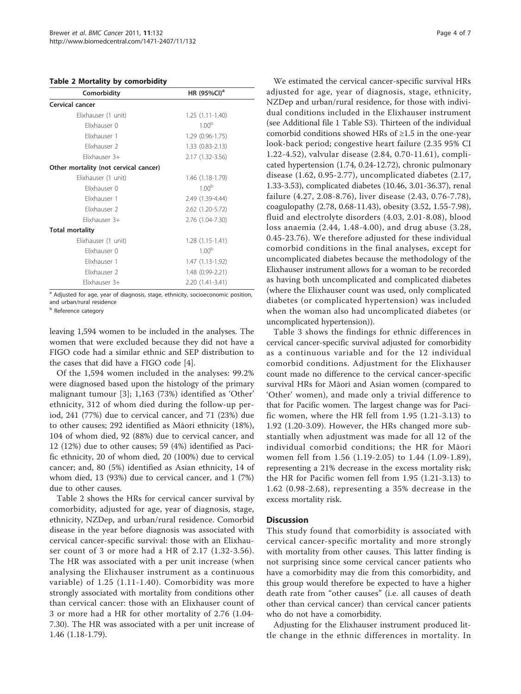## <span id="page-3-0"></span>Table 2 Mortality by comorbidity

| Comorbidity                           | HR (95%CI) <sup>a</sup> |
|---------------------------------------|-------------------------|
| Cervical cancer                       |                         |
| Elixhauser (1 unit)                   | $1.25(1.11-1.40)$       |
| Flixhauser 0                          | 1.00 <sup>b</sup>       |
| Flixhauser 1                          | 1.29 (0.96-1.75)        |
| Flixhauser 2                          | $1.33(0.83 - 2.13)$     |
| Flixhauser 3+                         | 2.17 (1.32-3.56)        |
| Other mortality (not cervical cancer) |                         |
| Elixhauser (1 unit)                   | 1.46 (1.18-1.79)        |
| Flixhauser 0                          | 1.00 <sup>b</sup>       |
| Flixhauser 1                          | 2.49 (1.39-4.44)        |
| Flixhauser 2                          | 2.62 (1.20-5.72)        |
| Flixhauser 3+                         | 2.76 (1.04-7.30)        |
| <b>Total mortality</b>                |                         |
| Elixhauser (1 unit)                   | $1.28(1.15-1.41)$       |
| Flixhauser 0                          | 1.00 <sup>b</sup>       |
| Flixhauser 1                          | 1.47 (1.13-1.92)        |
| Flixhauser 2                          | 1.48 (0.99-2.21)        |
| Flixhauser 3+                         | 2.20 (1.41-3.41)        |

<sup>a</sup> Adjusted for age, year of diagnosis, stage, ethnicity, socioeconomic position, and urban/rural residence

<sup>b</sup> Reference category

leaving 1,594 women to be included in the analyses. The women that were excluded because they did not have a FIGO code had a similar ethnic and SEP distribution to the cases that did have a FIGO code [\[4](#page-6-0)].

Of the 1,594 women included in the analyses: 99.2% were diagnosed based upon the histology of the primary malignant tumour [[3](#page-6-0)]; 1,163 (73%) identified as 'Other' ethnicity, 312 of whom died during the follow-up period, 241 (77%) due to cervical cancer, and 71 (23%) due to other causes; 292 identified as Māori ethnicity (18%), 104 of whom died, 92 (88%) due to cervical cancer, and 12 (12%) due to other causes; 59 (4%) identified as Pacific ethnicity, 20 of whom died, 20 (100%) due to cervical cancer; and, 80 (5%) identified as Asian ethnicity, 14 of whom died, 13 (93%) due to cervical cancer, and 1 (7%) due to other causes.

Table 2 shows the HRs for cervical cancer survival by comorbidity, adjusted for age, year of diagnosis, stage, ethnicity, NZDep, and urban/rural residence. Comorbid disease in the year before diagnosis was associated with cervical cancer-specific survival: those with an Elixhauser count of 3 or more had a HR of 2.17 (1.32-3.56). The HR was associated with a per unit increase (when analysing the Elixhauser instrument as a continuous variable) of 1.25 (1.11-1.40). Comorbidity was more strongly associated with mortality from conditions other than cervical cancer: those with an Elixhauser count of 3 or more had a HR for other mortality of 2.76 (1.04- 7.30). The HR was associated with a per unit increase of 1.46 (1.18-1.79).

We estimated the cervical cancer-specific survival HRs adjusted for age, year of diagnosis, stage, ethnicity, NZDep and urban/rural residence, for those with individual conditions included in the Elixhauser instrument (see Additional file [1](#page-5-0) Table S3). Thirteen of the individual comorbid conditions showed HRs of ≥1.5 in the one-year look-back period; congestive heart failure (2.35 95% CI 1.22-4.52), valvular disease (2.84, 0.70-11.61), complicated hypertension (1.74, 0.24-12.72), chronic pulmonary disease (1.62, 0.95-2.77), uncomplicated diabetes (2.17, 1.33-3.53), complicated diabetes (10.46, 3.01-36.37), renal failure (4.27, 2.08-8.76), liver disease (2.43, 0.76-7.78), coagulopathy (2.78, 0.68-11.43), obesity (3.52, 1.55-7.98), fluid and electrolyte disorders (4.03, 2.01-8.08), blood loss anaemia (2.44, 1.48-4.00), and drug abuse (3.28, 0.45-23.76). We therefore adjusted for these individual comorbid conditions in the final analyses, except for uncomplicated diabetes because the methodology of the Elixhauser instrument allows for a woman to be recorded as having both uncomplicated and complicated diabetes (where the Elixhauser count was used, only complicated diabetes (or complicated hypertension) was included when the woman also had uncomplicated diabetes (or uncomplicated hypertension)).

Table [3](#page-4-0) shows the findings for ethnic differences in cervical cancer-specific survival adjusted for comorbidity as a continuous variable and for the 12 individual comorbid conditions. Adjustment for the Elixhauser count made no difference to the cervical cancer-specific survival HRs for Māori and Asian women (compared to 'Other' women), and made only a trivial difference to that for Pacific women. The largest change was for Pacific women, where the HR fell from 1.95 (1.21-3.13) to 1.92 (1.20-3.09). However, the HRs changed more substantially when adjustment was made for all 12 of the individual comorbid conditions; the HR for Māori women fell from 1.56 (1.19-2.05) to 1.44 (1.09-1.89), representing a 21% decrease in the excess mortality risk; the HR for Pacific women fell from 1.95 (1.21-3.13) to 1.62 (0.98-2.68), representing a 35% decrease in the excess mortality risk.

## **Discussion**

This study found that comorbidity is associated with cervical cancer-specific mortality and more strongly with mortality from other causes. This latter finding is not surprising since some cervical cancer patients who have a comorbidity may die from this comorbidity, and this group would therefore be expected to have a higher death rate from "other causes" (i.e. all causes of death other than cervical cancer) than cervical cancer patients who do not have a comorbidity.

Adjusting for the Elixhauser instrument produced little change in the ethnic differences in mortality. In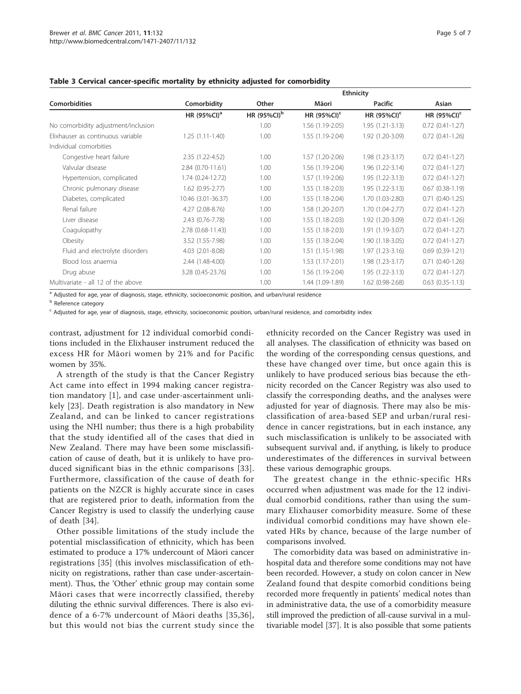|                                     |                         | <b>Ethnicity</b>        |                  |                     |                        |
|-------------------------------------|-------------------------|-------------------------|------------------|---------------------|------------------------|
| Comorbidities                       | Comorbidity             | Other                   | Māori            | <b>Pacific</b>      | Asian                  |
|                                     | HR (95%CI) <sup>a</sup> | HR (95%CI) <sup>b</sup> | HR $(95\%CI)^c$  | HR $(95\%CI)^c$     | HR $(95\%CI)^c$        |
| No comorbidity adjustment/inclusion |                         | 1.00                    | 1.56 (1.19-2.05) | $1.95(1.21-3.13)$   | $0.72(0.41-1.27)$      |
| Flixhauser as continuous variable   | $1.25(1.11-1.40)$       | 1.00                    | 1.55 (1.19-2.04) | 1.92 (1.20-3.09)    | $0.72(0.41-1.26)$      |
| Individual comorbities              |                         |                         |                  |                     |                        |
| Congestive heart failure            | 2.35 (1.22-4.52)        | 1.00                    | 1.57 (1.20-2.06) | $1.98(1.23-3.17)$   | $0.72(0.41-1.27)$      |
| Valvular disease                    | 2.84 (0.70-11.61)       | 1.00                    | 1.56 (1.19-2.04) | 1.96 (1.22-3.14)    | $0.72(0.41-1.27)$      |
| Hypertension, complicated           | 1.74 (0.24-12.72)       | 1.00                    | 1.57 (1.19-2.06) | 1.95 (1.22-3.13)    | $0.72(0.41-1.27)$      |
| Chronic pulmonary disease           | $1.62(0.95 - 2.77)$     | 1.00                    | 1.55 (1.18-2.03) | 1.95 (1.22-3.13)    | $0.67(0.38-1.19)$      |
| Diabetes, complicated               | 10.46 (3.01-36.37)      | 1.00                    | 1.55 (1.18-2.04) | 1.70 (1.03-2.80)    | $0.71(0.40-1.25)$      |
| Renal failure                       | 4.27 (2.08-8.76)        | 1.00                    | 1.58 (1.20-2.07) | 1.70 (1.04-2.77)    | $0.72(0.41-1.27)$      |
| Liver disease                       | 2.43 (0.76-7.78)        | 1.00                    | 1.55 (1.18-2.03) | 1.92 (1.20-3.09)    | $0.72$ $(0.41 - 1.26)$ |
| Coagulopathy                        | 2.78 (0.68-11.43)       | 1.00                    | 1.55 (1.18-2.03) | 1.91 (1.19-3.07)    | $0.72$ $(0.41 - 1.27)$ |
| Obesity                             | 3.52 (1.55-7.98)        | 1.00                    | 1.55 (1.18-2.04) | 1.90 (1.18-3.05)    | $0.72$ $(0.41 - 1.27)$ |
| Fluid and electrolyte disorders     | 4.03 (2.01-8.08)        | 1.00                    | 1.51 (1.15-1.98) | $1.97(1.23 - 3.16)$ | $0.69(0.39-1.21)$      |
| Blood loss anaemia                  | 2.44 (1.48-4.00)        | 1.00                    | 1.53 (1.17-2.01) | $1.98(1.23 - 3.17)$ | $0.71$ $(0.40-1.26)$   |
| Drug abuse                          | 3.28 (0.45-23.76)       | 1.00                    | 1.56 (1.19-2.04) | 1.95 (1.22-3.13)    | $0.72(0.41-1.27)$      |
| Multivariate - all 12 of the above  |                         | 1.00                    | 1.44 (1.09-1.89) | 1.62 (0.98-2.68)    | $0.63$ $(0.35-1.13)$   |

## <span id="page-4-0"></span>Table 3 Cervical cancer-specific mortality by ethnicity adjusted for comorbidity

<sup>a</sup> Adjusted for age, year of diagnosis, stage, ethnicity, socioeconomic position, and urban/rural residence

**b** Reference category

<sup>c</sup> Adjusted for age, year of diagnosis, stage, ethnicity, socioeconomic position, urban/rural residence, and comorbidity index

contrast, adjustment for 12 individual comorbid conditions included in the Elixhauser instrument reduced the excess HR for Māori women by 21% and for Pacific women by 35%.

A strength of the study is that the Cancer Registry Act came into effect in 1994 making cancer registration mandatory [[1\]](#page-6-0), and case under-ascertainment unlikely [\[23\]](#page-6-0). Death registration is also mandatory in New Zealand, and can be linked to cancer registrations using the NHI number; thus there is a high probability that the study identified all of the cases that died in New Zealand. There may have been some misclassification of cause of death, but it is unlikely to have produced significant bias in the ethnic comparisons [[33\]](#page-6-0). Furthermore, classification of the cause of death for patients on the NZCR is highly accurate since in cases that are registered prior to death, information from the Cancer Registry is used to classify the underlying cause of death [[34\]](#page-6-0).

Other possible limitations of the study include the potential misclassification of ethnicity, which has been estimated to produce a 17% undercount of Māori cancer registrations [[35](#page-6-0)] (this involves misclassification of ethnicity on registrations, rather than case under-ascertainment). Thus, the 'Other' ethnic group may contain some Māori cases that were incorrectly classified, thereby diluting the ethnic survival differences. There is also evidence of a 6-7% undercount of Māori deaths [[35](#page-6-0),[36\]](#page-6-0), but this would not bias the current study since the ethnicity recorded on the Cancer Registry was used in all analyses. The classification of ethnicity was based on the wording of the corresponding census questions, and these have changed over time, but once again this is unlikely to have produced serious bias because the ethnicity recorded on the Cancer Registry was also used to classify the corresponding deaths, and the analyses were adjusted for year of diagnosis. There may also be misclassification of area-based SEP and urban/rural residence in cancer registrations, but in each instance, any such misclassification is unlikely to be associated with subsequent survival and, if anything, is likely to produce underestimates of the differences in survival between these various demographic groups.

The greatest change in the ethnic-specific HRs occurred when adjustment was made for the 12 individual comorbid conditions, rather than using the summary Elixhauser comorbidity measure. Some of these individual comorbid conditions may have shown elevated HRs by chance, because of the large number of comparisons involved.

The comorbidity data was based on administrative inhospital data and therefore some conditions may not have been recorded. However, a study on colon cancer in New Zealand found that despite comorbid conditions being recorded more frequently in patients' medical notes than in administrative data, the use of a comorbidity measure still improved the prediction of all-cause survival in a multivariable model [\[37](#page-6-0)]. It is also possible that some patients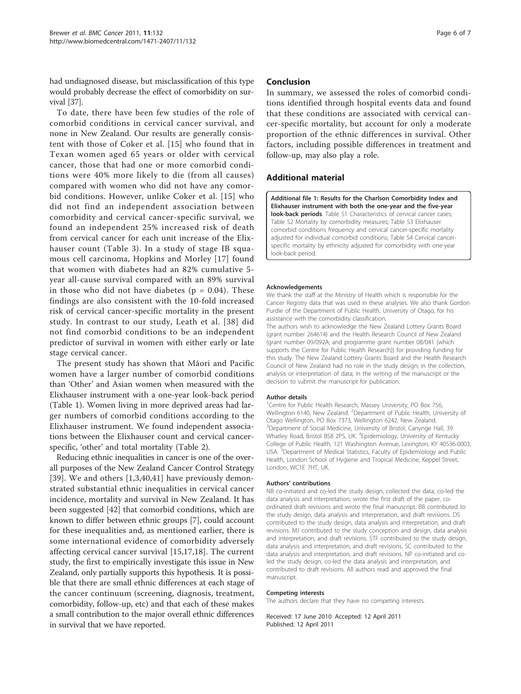<span id="page-5-0"></span>had undiagnosed disease, but misclassification of this type would probably decrease the effect of comorbidity on survival [\[37\]](#page-6-0).

To date, there have been few studies of the role of comorbid conditions in cervical cancer survival, and none in New Zealand. Our results are generally consistent with those of Coker et al. [[15](#page-6-0)] who found that in Texan women aged 65 years or older with cervical cancer, those that had one or more comorbid conditions were 40% more likely to die (from all causes) compared with women who did not have any comorbid conditions. However, unlike Coker et al. [[15\]](#page-6-0) who did not find an independent association between comorbidity and cervical cancer-specific survival, we found an independent 25% increased risk of death from cervical cancer for each unit increase of the Elixhauser count (Table [3\)](#page-4-0). In a study of stage IB squamous cell carcinoma, Hopkins and Morley [[17\]](#page-6-0) found that women with diabetes had an 82% cumulative 5 year all-cause survival compared with an 89% survival in those who did not have diabetes ( $p = 0.04$ ). These findings are also consistent with the 10-fold increased risk of cervical cancer-specific mortality in the present study. In contrast to our study, Leath et al. [[38\]](#page-6-0) did not find comorbid conditions to be an independent predictor of survival in women with either early or late stage cervical cancer.

The present study has shown that Māori and Pacific women have a larger number of comorbid conditions than 'Other' and Asian women when measured with the Elixhauser instrument with a one-year look-back period (Table [1\)](#page-2-0). Women living in more deprived areas had larger numbers of comorbid conditions according to the Elixhauser instrument. We found independent associations between the Elixhauser count and cervical cancerspecific, 'other' and total mortality (Table [2\)](#page-3-0).

Reducing ethnic inequalities in cancer is one of the overall purposes of the New Zealand Cancer Control Strategy [[39](#page-6-0)]. We and others [[1,3](#page-6-0),[40,41\]](#page-6-0) have previously demonstrated substantial ethnic inequalities in cervical cancer incidence, mortality and survival in New Zealand. It has been suggested [[42\]](#page-6-0) that comorbid conditions, which are known to differ between ethnic groups [\[7](#page-6-0)], could account for these inequalities and, as mentioned earlier, there is some international evidence of comorbidity adversely affecting cervical cancer survival [[15,17,18](#page-6-0)]. The current study, the first to empirically investigate this issue in New Zealand, only partially supports this hypothesis. It is possible that there are small ethnic differences at each stage of the cancer continuum (screening, diagnosis, treatment, comorbidity, follow-up, etc) and that each of these makes a small contribution to the major overall ethnic differences in survival that we have reported.

## Conclusion

In summary, we assessed the roles of comorbid conditions identified through hospital events data and found that these conditions are associated with cervical cancer-specific mortality, but account for only a moderate proportion of the ethnic differences in survival. Other factors, including possible differences in treatment and follow-up, may also play a role.

## Additional material

[Additional file 1: R](http://www.biomedcentral.com/content/supplementary/1471-2407-11-132-S1.DOC)esults for the Charlson Comorbidity Index and Elixhauser instrument with both the one-year and the five-year look-back periods. Table S1 Characteristics of cervical cancer cases; Table S2 Mortality by comorbidity measures; Table S3 Elixhauser comorbid conditions frequency and cervical cancer-specific mortality adjusted for individual comorbid conditions; Table S4 Cervical cancerspecific mortality by ethnicity adjusted for comorbidity with one-year look-back period.

### Acknowledgements

We thank the staff at the Ministry of Health which is responsible for the Cancer Registry data that was used in these analyses. We also thank Gordon Purdie of the Department of Public Health, University of Otago, for his assistance with the comorbidity classification.

The authors wish to acknowledge the New Zealand Lottery Grants Board (grant number 264614) and the Health Research Council of New Zealand (grant number 09/092A; and programme grant number 08/041 (which supports the Centre for Public Health Research)) for providing funding for this study. The New Zealand Lottery Grants Board and the Health Research Council of New Zealand had no role in the study design; in the collection, analysis or interpretation of data; in the writing of the manuscript or the decision to submit the manuscript for publication.

### Author details

<sup>1</sup> Centre for Public Health Research, Massey University, PO Box 756 Wellington 6140, New Zealand. <sup>2</sup>Department of Public Health, University of Otago Wellington, PO Box 7373, Wellington 6242, New Zealand. <sup>3</sup>Department of Social Medicine, University of Bristol, Canynge Hall, 39 Whatley Road, Bristol BS8 2PS, UK. <sup>4</sup>Epidemiology, University of Kentucky College of Public Health, 121 Washington Avenue, Lexington, KY 40536-0003, USA.<sup>3</sup> Department of Medical Statistics, Faculty of Epidemiology and Public Health, London School of Hygiene and Tropical Medicine, Keppel Street, London, WC1E 7HT, UK.

#### Authors' contributions

NB co-initiated and co-led the study design, collected the data, co-led the data analysis and interpretation, wrote the first draft of the paper, coordinated draft revisions and wrote the final manuscript. BB contributed to the study design, data analysis and interpretation, and draft revisions. DS contributed to the study design, data analysis and interpretation, and draft revisions. MJ contributed to the study conception and design, data analysis and interpretation, and draft revisions. STF contributed to the study design, data analysis and interpretation, and draft revisions. SC contributed to the data analysis and interpretation, and draft revisions. NP co-initiated and coled the study design, co-led the data analysis and interpretation, and contributed to draft revisions. All authors read and approved the final manuscript.

#### Competing interests

The authors declare that they have no competing interests.

Received: 17 June 2010 Accepted: 12 April 2011 Published: 12 April 2011